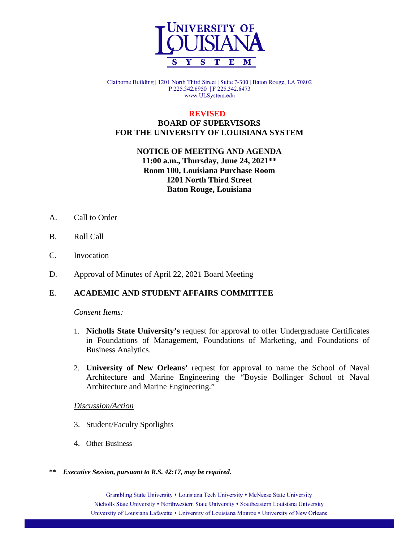

Claiborne Building | 1201 North Third Street | Suite 7-300 | Baton Rouge, LA 70802 P 225.342.6950 | F 225.342.6473 www.ULSystem.edu

### **REVISED BOARD OF SUPERVISORS FOR THE UNIVERSITY OF LOUISIANA SYSTEM**

**NOTICE OF MEETING AND AGENDA 11:00 a.m., Thursday, June 24, 2021\*\* Room 100, Louisiana Purchase Room 1201 North Third Street Baton Rouge, Louisiana**

- A. Call to Order
- B. Roll Call
- C. Invocation
- D. Approval of Minutes of April 22, 2021 Board Meeting

### E. **ACADEMIC AND STUDENT AFFAIRS COMMITTEE**

#### *Consent Items:*

- 1. **Nicholls State University's** request for approval to offer Undergraduate Certificates in Foundations of Management, Foundations of Marketing, and Foundations of Business Analytics.
- 2. **University of New Orleans'** request for approval to name the School of Naval Architecture and Marine Engineering the "Boysie Bollinger School of Naval Architecture and Marine Engineering."

#### *Discussion/Action*

- 3. Student/Faculty Spotlights
- 4. Other Business
- **\*\*** *Executive Session, pursuant to R.S. 42:17, may be required.*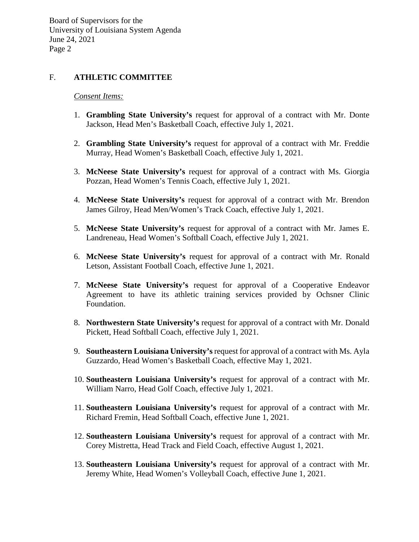## F. **ATHLETIC COMMITTEE**

#### *Consent Items:*

- 1. **Grambling State University's** request for approval of a contract with Mr. Donte Jackson, Head Men's Basketball Coach, effective July 1, 2021.
- 2. **Grambling State University's** request for approval of a contract with Mr. Freddie Murray, Head Women's Basketball Coach, effective July 1, 2021.
- 3. **McNeese State University's** request for approval of a contract with Ms. Giorgia Pozzan, Head Women's Tennis Coach, effective July 1, 2021.
- 4. **McNeese State University's** request for approval of a contract with Mr. Brendon James Gilroy, Head Men/Women's Track Coach, effective July 1, 2021.
- 5. **McNeese State University's** request for approval of a contract with Mr. James E. Landreneau, Head Women's Softball Coach, effective July 1, 2021.
- 6. **McNeese State University's** request for approval of a contract with Mr. Ronald Letson, Assistant Football Coach, effective June 1, 2021.
- 7. **McNeese State University's** request for approval of a Cooperative Endeavor Agreement to have its athletic training services provided by Ochsner Clinic Foundation.
- 8. **Northwestern State University's** request for approval of a contract with Mr. Donald Pickett, Head Softball Coach, effective July 1, 2021.
- 9. **Southeastern Louisiana University's** request for approval of a contract with Ms. Ayla Guzzardo, Head Women's Basketball Coach, effective May 1, 2021.
- 10. **Southeastern Louisiana University's** request for approval of a contract with Mr. William Narro, Head Golf Coach, effective July 1, 2021.
- 11. **Southeastern Louisiana University's** request for approval of a contract with Mr. Richard Fremin, Head Softball Coach, effective June 1, 2021.
- 12. **Southeastern Louisiana University's** request for approval of a contract with Mr. Corey Mistretta, Head Track and Field Coach, effective August 1, 2021.
- 13. **Southeastern Louisiana University's** request for approval of a contract with Mr. Jeremy White, Head Women's Volleyball Coach, effective June 1, 2021.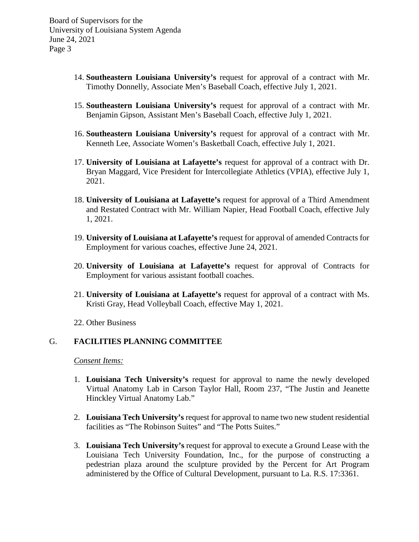- 14. **Southeastern Louisiana University's** request for approval of a contract with Mr. Timothy Donnelly, Associate Men's Baseball Coach, effective July 1, 2021.
- 15. **Southeastern Louisiana University's** request for approval of a contract with Mr. Benjamin Gipson, Assistant Men's Baseball Coach, effective July 1, 2021.
- 16. **Southeastern Louisiana University's** request for approval of a contract with Mr. Kenneth Lee, Associate Women's Basketball Coach, effective July 1, 2021.
- 17. **University of Louisiana at Lafayette's** request for approval of a contract with Dr. Bryan Maggard, Vice President for Intercollegiate Athletics (VPIA), effective July 1, 2021.
- 18. **University of Louisiana at Lafayette's** request for approval of a Third Amendment and Restated Contract with Mr. William Napier, Head Football Coach, effective July 1, 2021.
- 19. **University of Louisiana at Lafayette's** request for approval of amended Contracts for Employment for various coaches, effective June 24, 2021.
- 20. **University of Louisiana at Lafayette's** request for approval of Contracts for Employment for various assistant football coaches.
- 21. **University of Louisiana at Lafayette's** request for approval of a contract with Ms. Kristi Gray, Head Volleyball Coach, effective May 1, 2021.
- 22. Other Business

#### G. **FACILITIES PLANNING COMMITTEE**

*Consent Items:*

- 1. **Louisiana Tech University's** request for approval to name the newly developed Virtual Anatomy Lab in Carson Taylor Hall, Room 237, "The Justin and Jeanette Hinckley Virtual Anatomy Lab."
- 2. **Louisiana Tech University's** request for approval to name two new student residential facilities as "The Robinson Suites" and "The Potts Suites."
- 3. **Louisiana Tech University's** request for approval to execute a Ground Lease with the Louisiana Tech University Foundation, Inc., for the purpose of constructing a pedestrian plaza around the sculpture provided by the Percent for Art Program administered by the Office of Cultural Development, pursuant to La. R.S. 17:3361.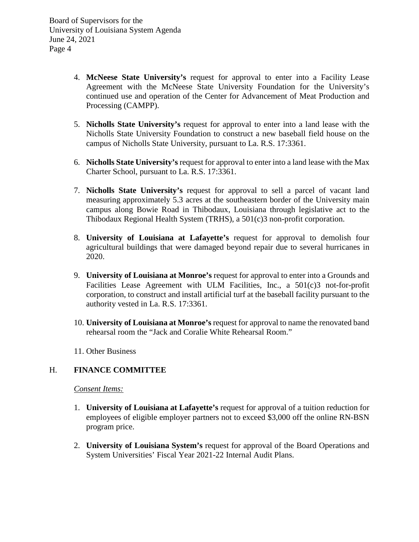- 4. **McNeese State University's** request for approval to enter into a Facility Lease Agreement with the McNeese State University Foundation for the University's continued use and operation of the Center for Advancement of Meat Production and Processing (CAMPP).
- 5. **Nicholls State University's** request for approval to enter into a land lease with the Nicholls State University Foundation to construct a new baseball field house on the campus of Nicholls State University, pursuant to La. R.S. 17:3361.
- 6. **Nicholls State University's** request for approval to enter into a land lease with the Max Charter School, pursuant to La. R.S. 17:3361.
- 7. **Nicholls State University's** request for approval to sell a parcel of vacant land measuring approximately 5.3 acres at the southeastern border of the University main campus along Bowie Road in Thibodaux, Louisiana through legislative act to the Thibodaux Regional Health System (TRHS), a 501(c)3 non-profit corporation.
- 8. **University of Louisiana at Lafayette's** request for approval to demolish four agricultural buildings that were damaged beyond repair due to several hurricanes in 2020.
- 9. **University of Louisiana at Monroe's** request for approval to enter into a Grounds and Facilities Lease Agreement with ULM Facilities, Inc., a 501(c)3 not-for-profit corporation, to construct and install artificial turf at the baseball facility pursuant to the authority vested in La. R.S. 17:3361.
- 10. **University of Louisiana at Monroe's** request for approval to name the renovated band rehearsal room the "Jack and Coralie White Rehearsal Room."
- 11. Other Business

## H. **FINANCE COMMITTEE**

### *Consent Items:*

- 1. **University of Louisiana at Lafayette's** request for approval of a tuition reduction for employees of eligible employer partners not to exceed \$3,000 off the online RN-BSN program price.
- 2. **University of Louisiana System's** request for approval of the Board Operations and System Universities' Fiscal Year 2021-22 Internal Audit Plans.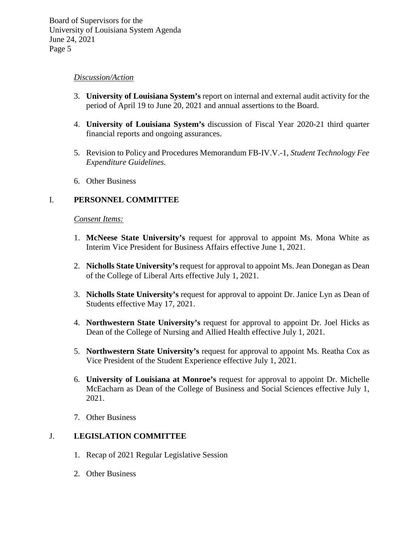### *Discussion/Action*

- 3. **University of Louisiana System's** report on internal and external audit activity for the period of April 19 to June 20, 2021 and annual assertions to the Board.
- 4. **University of Louisiana System's** discussion of Fiscal Year 2020-21 third quarter financial reports and ongoing assurances.
- 5. Revision to Policy and Procedures Memorandum FB-IV.V.-1, *Student Technology Fee Expenditure Guidelines.*
- 6. Other Business

## I. **PERSONNEL COMMITTEE**

#### *Consent Items:*

- 1. **McNeese State University's** request for approval to appoint Ms. Mona White as Interim Vice President for Business Affairs effective June 1, 2021.
- 2. **Nicholls State University's** request for approval to appoint Ms. Jean Donegan as Dean of the College of Liberal Arts effective July 1, 2021.
- 3. **Nicholls State University's** request for approval to appoint Dr. Janice Lyn as Dean of Students effective May 17, 2021.
- 4. **Northwestern State University's** request for approval to appoint Dr. Joel Hicks as Dean of the College of Nursing and Allied Health effective July 1, 2021.
- 5. **Northwestern State University's** request for approval to appoint Ms. Reatha Cox as Vice President of the Student Experience effective July 1, 2021.
- 6. **University of Louisiana at Monroe's** request for approval to appoint Dr. Michelle McEacharn as Dean of the College of Business and Social Sciences effective July 1, 2021.
- 7. Other Business

### J. **LEGISLATION COMMITTEE**

- 1. Recap of 2021 Regular Legislative Session
- 2. Other Business